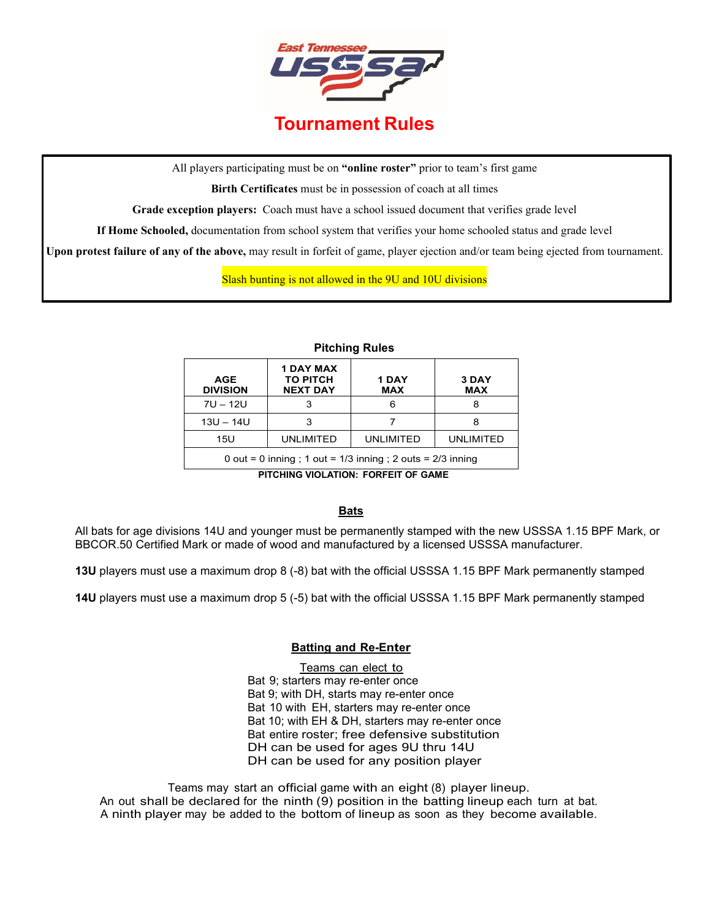

All players participating must be on **"online roster"** prior to team's first game

**Birth Certificates** must be in possession of coach at all times

**Grade exception players:** Coach must have a school issued document that verifies grade level

**If Home Schooled,** documentation from school system that verifies your home schooled status and grade level

**Upon protest failure of any of the above,** may result in forfeit of game, player ejection and/or team being ejected from tournament.

Slash bunting is not allowed in the 9U and 10U divisions

**Pitching Rules**

| AGE<br><b>DIVISION</b>                                        | <b>1 DAY MAX</b><br><b>TO PITCH</b><br><b>NEXT DAY</b> | 1 DAY<br><b>MAX</b> | 3 DAY<br><b>MAX</b> |
|---------------------------------------------------------------|--------------------------------------------------------|---------------------|---------------------|
| $7U - 12U$                                                    |                                                        | 6                   |                     |
| $13U - 14U$                                                   |                                                        |                     |                     |
| 15U                                                           | <b>UNLIMITED</b>                                       | <b>UNLIMITED</b>    | <b>UNLIMITED</b>    |
| 0 out = 0 inning; 1 out = $1/3$ inning; 2 outs = $2/3$ inning |                                                        |                     |                     |

**PITCHING VIOLATION: FORFEIT OF GAME**

# **Bats**

All bats for age divisions 14U and younger must be permanently stamped with the new USSSA 1.15 BPF Mark, or BBCOR.50 Certified Mark or made of wood and manufactured by a licensed USSSA manufacturer.

**13U** players must use a maximum drop 8 (-8) bat with the official USSSA 1.15 BPF Mark permanently stamped

**14U** players must use a maximum drop 5 (-5) bat with the official USSSA 1.15 BPF Mark permanently stamped

# **Batting and Re-Enter**

Teams can elect to Bat 9; starters may re-enter once Bat 9; with DH, starts may re-enter once Bat 10 with EH, starters may re-enter once Bat 10; with EH & DH, starters may re-enter once Bat entire roster; free defensive substitution DH can be used for ages 9U thru 14U DH can be used for any position player

Teams may start an official game with an eight (8) player lineup. An out shall be declared for the ninth (9) position in the batting lineup each turn at bat. A ninth player may be added to the bottom of lineup as soon as they become available.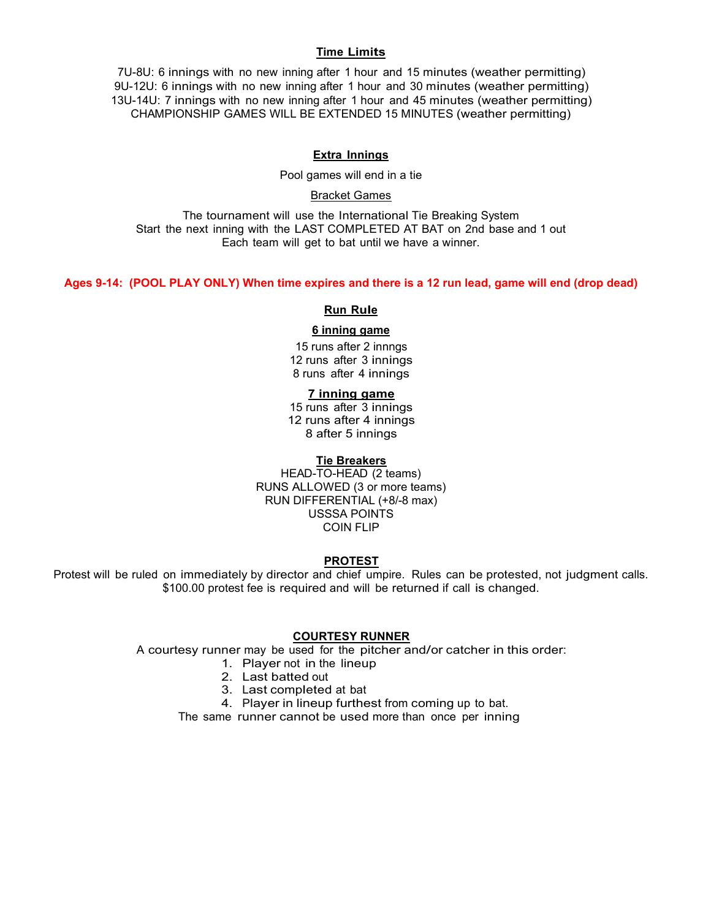# **Time Limits**

7U-8U: 6 innings with no new inning after 1 hour and 15 minutes (weather permitting) 9U-12U: 6 innings with no new inning after 1 hour and 30 minutes (weather permitting) 13U-14U: 7 innings with no new inning after 1 hour and 45 minutes (weather permitting) CHAMPIONSHIP GAMES WILL BE EXTENDED 15 MINUTES (weather permitting)

# **Extra Innings**

Pool games will end in a tie

## Bracket Games

The tournament will use the International Tie Breaking System Start the next inning with the LAST COMPLETED AT BAT on 2nd base and 1 out Each team will get to bat until we have a winner.

**Ages 9-14: (POOL PLAY ONLY) When time expires and there is a 12 run lead, game will end (drop dead)**

### **Run Rule**

#### **6 inning game**

15 runs after 2 innngs 12 runs after 3 innings 8 runs after 4 innings

# **7 inning game**

15 runs after 3 innings 12 runs after 4 innings 8 after 5 innings

## **Tie Breakers**

HEAD-TO-HEAD (2 teams) RUNS ALLOWED (3 or more teams) RUN DIFFERENTIAL (+8/-8 max) USSSA POINTS COIN FLIP

## **PROTEST**

Protest will be ruled on immediately by director and chief umpire. Rules can be protested, not judgment calls. \$100.00 protest fee is required and will be returned if call is changed.

#### **COURTESY RUNNER**

<sup>A</sup> courtesy runner may be used for the pitcher and/or catcher in this order:

- 1. Player not in the lineup
- 2. Last batted out
- 3. Last completed at bat
- 4. Player in lineup furthest from coming up to bat.

The same runner cannot be used more than once per inning